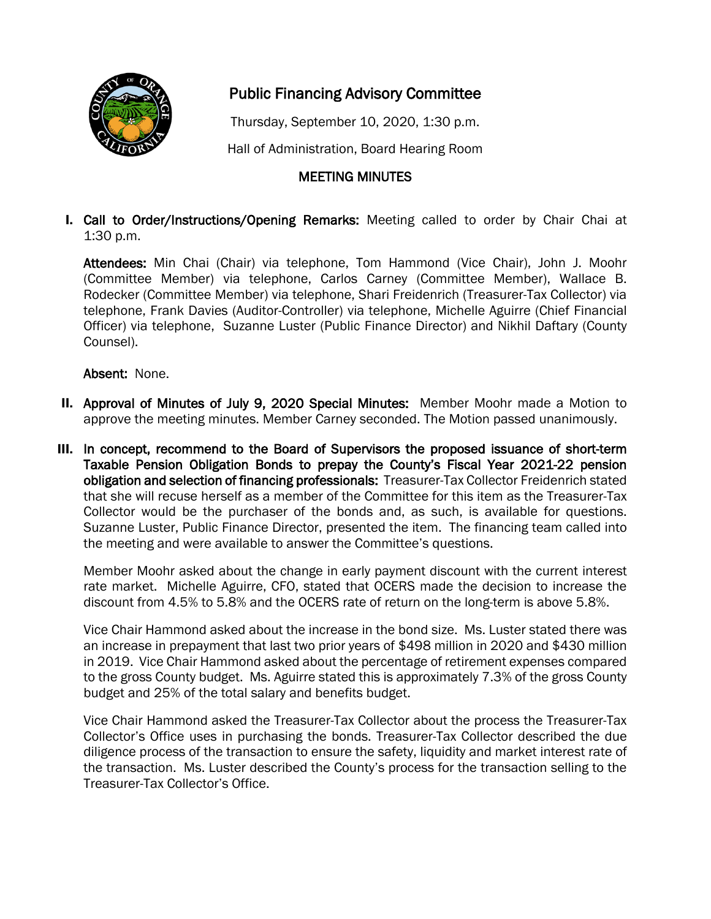

## Public Financing Advisory Committee

Thursday, September 10, 2020, 1:30 p.m.

Hall of Administration, Board Hearing Room

## MEETING MINUTES

I. Call to Order/Instructions/Opening Remarks: Meeting called to order by Chair Chai at 1:30 p.m.

Attendees: Min Chai (Chair) via telephone, Tom Hammond (Vice Chair), John J. Moohr (Committee Member) via telephone, Carlos Carney (Committee Member), Wallace B. Rodecker (Committee Member) via telephone, Shari Freidenrich (Treasurer-Tax Collector) via telephone, Frank Davies (Auditor-Controller) via telephone, Michelle Aguirre (Chief Financial Officer) via telephone, Suzanne Luster (Public Finance Director) and Nikhil Daftary (County Counsel).

## Absent: None.

- II. Approval of Minutes of July 9, 2020 Special Minutes: Member Moohr made a Motion to approve the meeting minutes. Member Carney seconded. The Motion passed unanimously.
- III. In concept, recommend to the Board of Supervisors the proposed issuance of short-term Taxable Pension Obligation Bonds to prepay the County's Fiscal Year 2021-22 pension obligation and selection of financing professionals: Treasurer-Tax Collector Freidenrich stated that she will recuse herself as a member of the Committee for this item as the Treasurer-Tax Collector would be the purchaser of the bonds and, as such, is available for questions. Suzanne Luster, Public Finance Director, presented the item. The financing team called into the meeting and were available to answer the Committee's questions.

Member Moohr asked about the change in early payment discount with the current interest rate market. Michelle Aguirre, CFO, stated that OCERS made the decision to increase the discount from 4.5% to 5.8% and the OCERS rate of return on the long-term is above 5.8%.

Vice Chair Hammond asked about the increase in the bond size. Ms. Luster stated there was an increase in prepayment that last two prior years of \$498 million in 2020 and \$430 million in 2019. Vice Chair Hammond asked about the percentage of retirement expenses compared to the gross County budget. Ms. Aguirre stated this is approximately 7.3% of the gross County budget and 25% of the total salary and benefits budget.

Vice Chair Hammond asked the Treasurer-Tax Collector about the process the Treasurer-Tax Collector's Office uses in purchasing the bonds. Treasurer-Tax Collector described the due diligence process of the transaction to ensure the safety, liquidity and market interest rate of the transaction. Ms. Luster described the County's process for the transaction selling to the Treasurer-Tax Collector's Office.